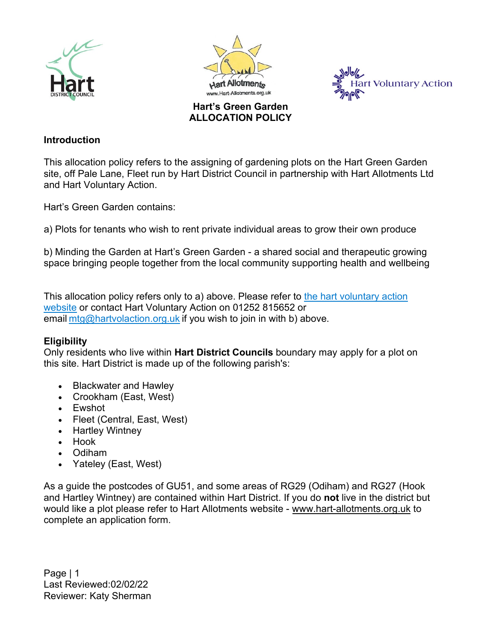







#### **Introduction**

This allocation policy refers to the assigning of gardening plots on the Hart Green Garden site, off Pale Lane, Fleet run by Hart District Council in partnership with Hart Allotments Ltd and Hart Voluntary Action.

Hart's Green Garden contains:

a) Plots for tenants who wish to rent private individual areas to grow their own produce

b) Minding the Garden at Hart's Green Garden - a shared social and therapeutic growing space bringing people together from the local community supporting health and wellbeing

This allocation policy refers only to a) above. Please refer to [the hart voluntary action](https://www.hartvolaction.org.uk/services-for-residents/minding-the-garden/)  [website](https://www.hartvolaction.org.uk/services-for-residents/minding-the-garden/) or contact Hart Voluntary Action on 01252 815652 or email [mtg@hartvolaction.org.uk](mailto:mtg@hartvolaction.org.uk) if you wish to join in with b) above.

## **Eligibility**

Only residents who live within **Hart District Councils** boundary may apply for a plot on this site. Hart District is made up of the following parish's:

- Blackwater and Hawley
- Crookham (East, West)
- Ewshot
- Fleet (Central, East, West)
- Hartley Wintney
- Hook
- Odiham
- Yateley (East, West)

As a guide the postcodes of GU51, and some areas of RG29 (Odiham) and RG27 (Hook and Hartley Wintney) are contained within Hart District. If you do **not** live in the district but would like a plot please refer to Hart Allotments website - www.[hart-allotments.org.uk](http://hart-allotments.org.uk/) to complete an application form.

Page | 1 Last Reviewed:02/02/22 Reviewer: Katy Sherman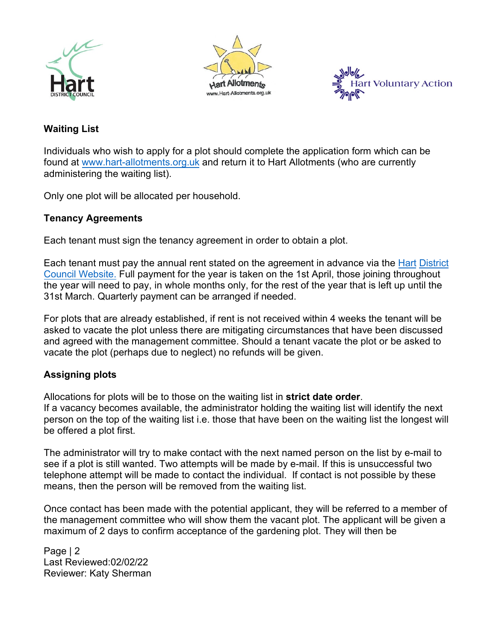





# **Waiting List**

Individuals who wish to apply for a plot should complete the application form which can be found at [www.hart-allotments.org.uk](http://www.hart-allotments.org.uk/) and return it to Hart Allotments (who are currently administering the waiting list).

Only one plot will be allocated per household.

## **Tenancy Agreements**

Each tenant must sign the tenancy agreement in order to obtain a plot.

Each tenant must pay the annual rent stated on the agreement in advance via the Hart [District](https://ip.e-paycapita.com/AIP/dataEntry.do?link=showDataEntryPage&requestId=ha6lpff9b51xaary83jo50fisenttxd)  [Council Website.](https://ip.e-paycapita.com/AIP/dataEntry.do?link=showDataEntryPage&requestId=ha6lpff9b51xaary83jo50fisenttxd) Full payment for the year is taken on the 1st April, those joining throughout the year will need to pay, in whole months only, for the rest of the year that is left up until the 31st March. Quarterly payment can be arranged if needed.

For plots that are already established, if rent is not received within 4 weeks the tenant will be asked to vacate the plot unless there are mitigating circumstances that have been discussed and agreed with the management committee. Should a tenant vacate the plot or be asked to vacate the plot (perhaps due to neglect) no refunds will be given.

## **Assigning plots**

Allocations for plots will be to those on the waiting list in **strict date order**. If a vacancy becomes available, the administrator holding the waiting list will identify the next person on the top of the waiting list i.e. those that have been on the waiting list the longest will be offered a plot first.

The administrator will try to make contact with the next named person on the list by e-mail to see if a plot is still wanted. Two attempts will be made by e-mail. If this is unsuccessful two telephone attempt will be made to contact the individual. If contact is not possible by these means, then the person will be removed from the waiting list.

Once contact has been made with the potential applicant, they will be referred to a member of the management committee who will show them the vacant plot. The applicant will be given a maximum of 2 days to confirm acceptance of the gardening plot. They will then be

Page | 2 Last Reviewed:02/02/22 Reviewer: Katy Sherman